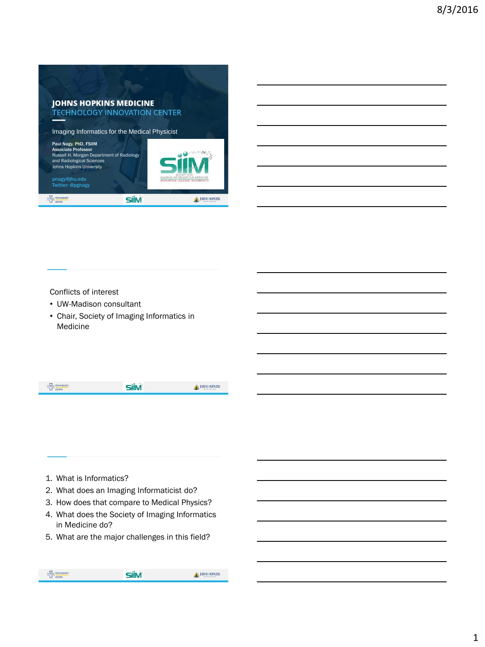

Conflicts of interest

- UW-Madison consultant
- Chair, Society of Imaging Informatics in Medicine

|  | <b>Built</b><br><b>CHANGE</b> |  |  |
|--|-------------------------------|--|--|
|--|-------------------------------|--|--|

- 1. What is Informatics?
- 2. What does an Imaging Informaticist do?
- 3. How does that compare to Medical Physics?
- 4. What does the Society of Imaging Informatics in Medicine do?
- 5. What are the major challenges in this field?

| ٠<br>TECHNOLOGY<br>E El MOR<br><b>CENTER</b> | 88814188 |
|----------------------------------------------|----------|
|                                              |          |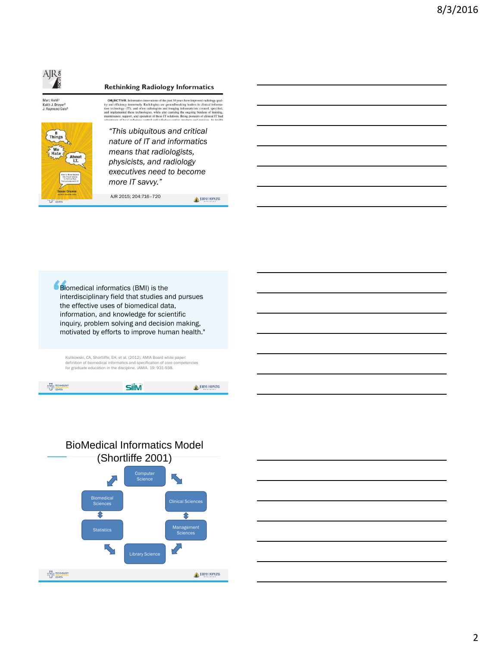# AJRš

### **Rethinking Radiology Informatics**

Marc Kohli<sup>1</sup><br>Keith J. Dreyer<sup>2</sup><br>J. Raymond Geis<sup>3</sup>



**OBJECTIVE**. Informatics innovations of the past 30 years have imp OBJECTIVE. Intermations innovances or the past stype<br>are have intermation and efficiency immensely. Radiologists are general<br>breaking baskets in clinical information of the host property<br>(T1), and other radiologists and im

*"This ubiquitous and critical nature of IT and informatics means that radiologists, physicists, and radiology executives need to become more IT savvy."*

AJR 2015; 204:716–720

JOHNS HOPKINS







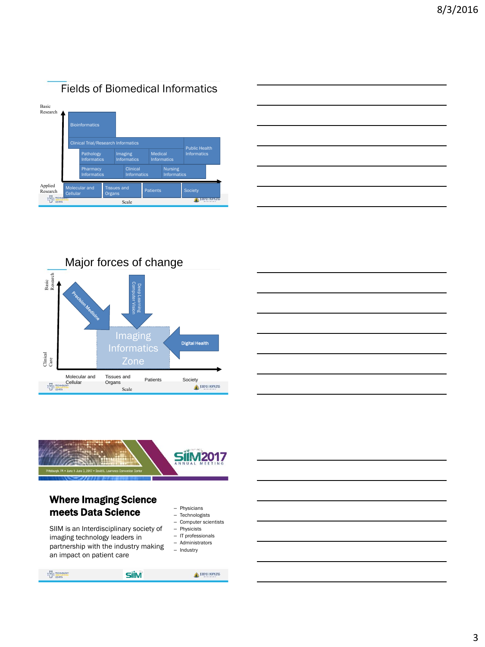

|  | _____          |
|--|----------------|
|  | <b>Service</b> |
|  |                |
|  |                |
|  |                |

Major forces of change Basic Research Experimental computer vision of the speed computer vision of the computer  $\Omega$  one Imaging Digital Health Clinical Care Molecular and Tissues and Tissues and<br>
Organs<br>
Scale<br>
Scale<br>
Patients<br>
Patients<br>
Patients<br>
Patients<br>
Patients<br>
Patients<br>
Patients<br>
Patients<br>
Patients<br>
Patients<br>
Patients<br>
Patients<br>
Patients<br>
Patients<br>
Patients<br>
Patients<br>
Patients<br>
Patients<br>
Patient **Cellular** 骨體 Scale





### Where Imaging Science meets Data Science

SIIM is an Interdisciplinary society of imaging technology leaders in partnership with the industry making an impact on patient care

– Physicians

- Technologists
- Computer scientists
- Physicists
- IT professionals – Administrators
- Industry

#### $\begin{picture}(120,10) \put(0,0){\line(1,0){10}} \put(15,0){\line(1,0){10}} \put(15,0){\line(1,0){10}} \put(15,0){\line(1,0){10}} \put(15,0){\line(1,0){10}} \put(15,0){\line(1,0){10}} \put(15,0){\line(1,0){10}} \put(15,0){\line(1,0){10}} \put(15,0){\line(1,0){10}} \put(15,0){\line(1,0){10}} \put(15,0){\line(1,0){10}} \put(15,0){\line($ **SiiM** JOHNS HOPKINS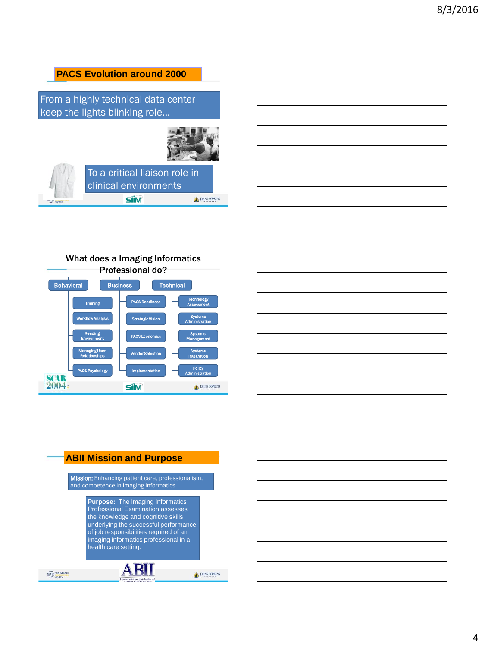## **PACS Evolution around 2000** From a highly technical data center keep-the-lights blinking role… To a critical liaison role in clinical environments **SilM** JOHNS HOPKINS LF CINTIR

### What does a Imaging Informatics





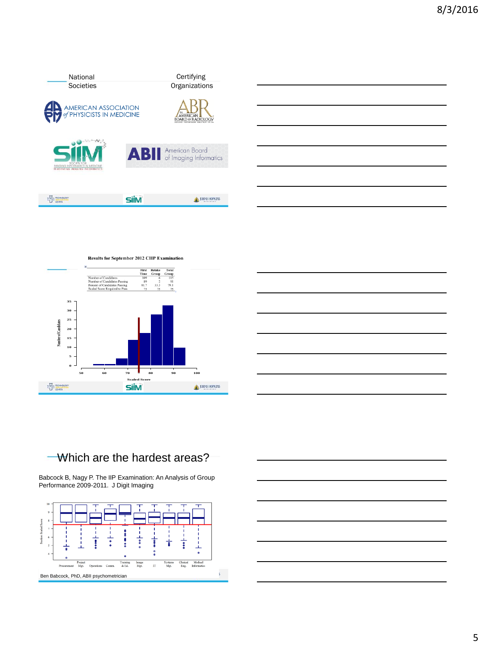

**Results for September 2012 CIIP Examination**  $\begin{tabular}{ll} \bf First & \bf First & \bf Retake & \bf Total \\ & \bf Time & \bf Group & \bf Group \\ Number of Caniblates: Passing & 89 & 2 & 9 \\ \bf Percent of C and states: Passing & 81.7 & 33.3 & 791 \\ \bf Next of C and states & 81.7 & 33.3 & 75 & 75 \\ \bf ScaleS & \bf New Review & \bf 10 & 24.7 & 25 & 25 \\ \end{tabular}$ **Scaled Score**<br>  $\frac{1}{2}$   $\frac{1}{2}$   $\frac{1}{2}$   $\frac{1}{2}$   $\frac{1}{2}$   $\frac{1}{2}$   $\frac{1}{2}$   $\frac{1}{2}$   $\frac{1}{2}$   $\frac{1}{2}$   $\frac{1}{2}$   $\frac{1}{2}$   $\frac{1}{2}$   $\frac{1}{2}$   $\frac{1}{2}$   $\frac{1}{2}$   $\frac{1}{2}$   $\frac{1}{2}$   $\frac{1}{2}$   $\frac{1}{2}$   $\frac{1$ **50 60 70 80 90 100** JOHNS HOPKINS

### Which are the hardest areas?

 $\begin{picture}(120,10) \put(0,0){\line(1,0){10}} \put(15,0){\line(1,0){10}} \put(15,0){\line(1,0){10}} \put(15,0){\line(1,0){10}} \put(15,0){\line(1,0){10}} \put(15,0){\line(1,0){10}} \put(15,0){\line(1,0){10}} \put(15,0){\line(1,0){10}} \put(15,0){\line(1,0){10}} \put(15,0){\line(1,0){10}} \put(15,0){\line(1,0){10}} \put(15,0){\line($ 

Babcock B, Nagy P. The IIP Examination: An Analysis of Group Performance 2009-2011. J Digit Imaging



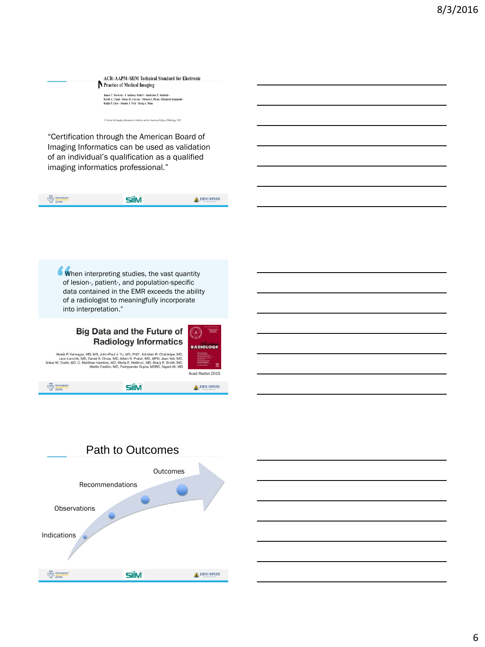$\begin{minipage}{0.9\linewidth} ACPAAPM-SIIM Technical Standard for Electronic Practice of Medical Imaging \\ \textit{Image} & \textit{J.}$  James T. Nerveck - J. Authory Schert- Katherin P. Andriot J. Pyron- Elizabeth Kruginski - Bootid A. Chunk - Browst A. External - Michael J. Appar- Elizabeth Kruginski - Radi A

() Society for Imaging Informatics in Medicine and the American College of Radiology 2012

"Certification through the American Board of Imaging Informatics can be used as validation of an individual's qualification as a qualified imaging informatics professional."

| $\sim$<br><b>The Purchase</b><br>e a<br><b>TINTER</b><br>ı | 141488 |
|------------------------------------------------------------|--------|
|                                                            |        |

When interpreting studies, the vast quantity of lesion-, patient-, and population-specific data contained in the EMR exceeds the ability of a radiologist to meaningfully incorporate into interpretation."

### **Big Data and the Future of Radiology Informatics**

**RADIOLOGY** Acad Radiol 2015

Akash P. Kansagra, MD, MS, John-Paul J. Yu, MD, PhD<sup>1</sup>, Arindam R. Chatterjee, MD, Leon Lenchik, MD, Danish S. Chow, ND, Adam B. Prater, MD, MPH, Jeash Yeh, MD, Arikur M. Denish, MD, Marker, MD, Marker, MD, Stacy E. Smith,

**SiiM** 

**HIP TECHNO** 



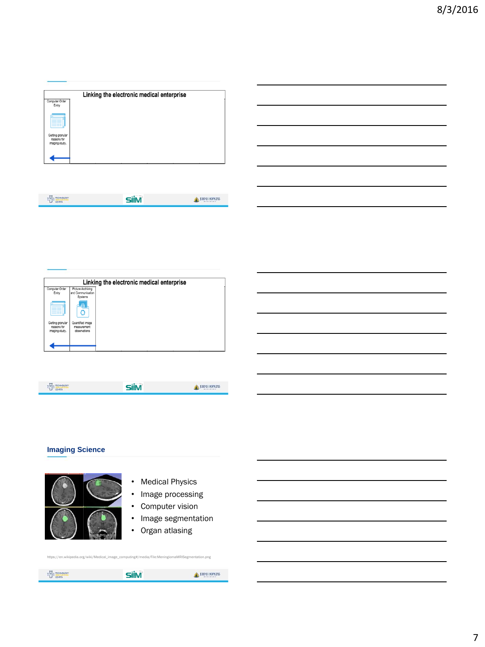|                                                   | Linking the electronic medical enterprise |  |
|---------------------------------------------------|-------------------------------------------|--|
| Computer Order<br>Entry                           |                                           |  |
|                                                   |                                           |  |
| Getting granular<br>reasons for<br>imaging study. |                                           |  |
|                                                   |                                           |  |

| <b>Built</b><br><b>CONTRACTOR</b><br>e a | ******** |
|------------------------------------------|----------|
|                                          |          |

| Linking the electronic medical enterprise |                   |  |
|-------------------------------------------|-------------------|--|
| Computer Order                            | Picture Archiving |  |
| Entry                                     | and Communication |  |
|                                           | Systems           |  |
|                                           | 森<br>٥            |  |
| Getting granular                          | Quantified image  |  |
| reasons for                               | measurement       |  |
| imaging study.                            | observations      |  |
|                                           |                   |  |
|                                           |                   |  |
|                                           |                   |  |
|                                           |                   |  |
|                                           |                   |  |
|                                           |                   |  |

| <b>ALLES</b><br>THE TECHNOLOGY | 88814188 |
|--------------------------------|----------|
|                                |          |

### **Imaging Science**



- Medical Physics
- Image processing
- Computer vision
- Image segmentation
- Organ atlasing

| ÷<br><b>ELECTRONOGY</b> | -än s | JOHNS HOPKINS |
|-------------------------|-------|---------------|

https://en.wikipedia.org/wiki/Medical\_image\_computing#/media/File:MeningiomaMRISegmentation.png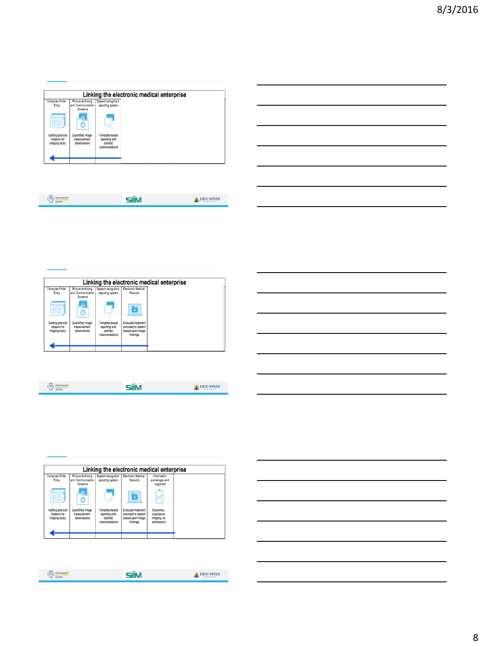|                                                   |                                                   |                                                                | Linking the electronic medical enterprise |
|---------------------------------------------------|---------------------------------------------------|----------------------------------------------------------------|-------------------------------------------|
| Computer Order<br>Entry                           | Picture Archiving<br>and Communication<br>Systems | Speech recognition<br>reporting system                         |                                           |
|                                                   | 4h I<br>Ō                                         |                                                                |                                           |
| Getting granular<br>reasons for<br>imaging study. | Quantified image<br>measurement<br>observations   | Template based<br>reporting with<br>codified<br>recomendations |                                           |
|                                                   |                                                   |                                                                |                                           |

| $\sim$<br>ਦ ਰ<br>$\sim$<br>. |  |
|------------------------------|--|
|                              |  |

|                                                   | Linking the electronic medical enterprise         |                                                                |                                                                            |  |
|---------------------------------------------------|---------------------------------------------------|----------------------------------------------------------------|----------------------------------------------------------------------------|--|
| Computer Order<br>Entry                           | Picture Archiving<br>and Communication<br>Systems | Speech recognition<br>reporting system                         | Electronic Medical<br>Records                                              |  |
|                                                   | 4N<br>Ō                                           |                                                                | D                                                                          |  |
| Getting granular<br>reasons for<br>imaging study. | Quantified image<br>measurement<br>observations   | Template based<br>reporting with<br>codified<br>recomendations | Evaluate treatment<br>provided to patient<br>based upon image<br>findings. |  |
|                                                   |                                                   |                                                                |                                                                            |  |

| <b>Service</b><br><b>EL EDINOVATION</b><br><b>CENTER</b> | <b>ARMINISHED</b> |
|----------------------------------------------------------|-------------------|
|                                                          |                   |

|                                                   | Linking the electronic medical enterprise         |                                                                |                                                                            |                                                        |  |  |  |
|---------------------------------------------------|---------------------------------------------------|----------------------------------------------------------------|----------------------------------------------------------------------------|--------------------------------------------------------|--|--|--|
| Computer Order<br>Entry                           | Picture Archiving<br>and Communication<br>Systems | Speech recognition<br>reporting system                         | Electronic Medical<br>Records                                              | Information<br>exchanges and<br>registries             |  |  |  |
|                                                   | -81<br>٥                                          |                                                                | ¥                                                                          | N                                                      |  |  |  |
| Getting granular<br>reasons for<br>imaging study. | Quantified image<br>measurement<br>observations   | Template based<br>reporting with<br>codified<br>recomendations | Evaluate treatment<br>provided to patient<br>based upon image<br>findings. | Outcomes.<br>duplicative<br>imaging, re-<br>admissions |  |  |  |
|                                                   |                                                   |                                                                |                                                                            |                                                        |  |  |  |

| $^{\text{H}}$<br>TECHNOLOGY | 88814188 |
|-----------------------------|----------|
|                             |          |

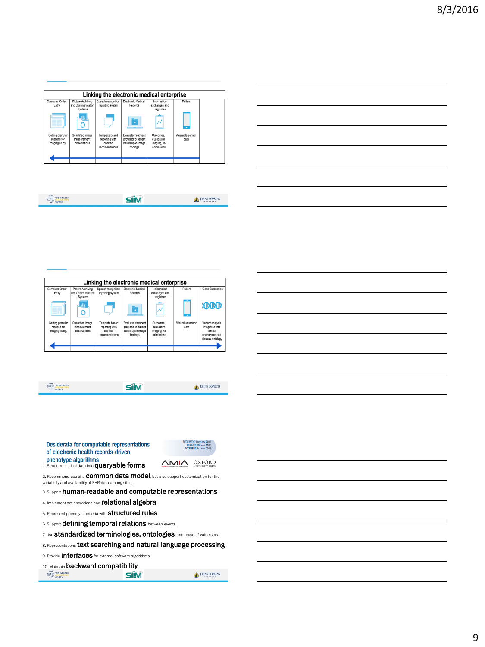| Linking the electronic medical enterprise         |                                                   |                                                                |                                                                            |                                                        |                         |  |
|---------------------------------------------------|---------------------------------------------------|----------------------------------------------------------------|----------------------------------------------------------------------------|--------------------------------------------------------|-------------------------|--|
| Computer Order<br>Entry                           | Picture Archiving<br>and Communication<br>Systems | Speech recognition<br>reporting system                         | Electronic Medical<br>Records                                              | Information<br>exchanges and<br>registries             | Patient                 |  |
|                                                   | $-48$<br>Ō                                        |                                                                | ¥                                                                          |                                                        |                         |  |
| Getting granular<br>reasons for<br>imaging study. | Quantified image<br>measurement<br>observations   | Template based<br>reporting with<br>codified<br>recomendations | Evaluate treatment<br>provided to patient<br>based upon image<br>findings. | Outcomes.<br>duplicative<br>imaging, re-<br>admissions | Wearable sensor<br>data |  |
|                                                   |                                                   |                                                                |                                                                            |                                                        |                         |  |

| <b>ALLES</b><br><b><i>AMERICA</i></b><br>e el |  |
|-----------------------------------------------|--|
|                                               |  |

| Linking the electronic medical enterprise         |                                                   |                                                                |                                                                            |                                                        |                         |                                                                                       |  |
|---------------------------------------------------|---------------------------------------------------|----------------------------------------------------------------|----------------------------------------------------------------------------|--------------------------------------------------------|-------------------------|---------------------------------------------------------------------------------------|--|
| Computer Order<br>Entry                           | Picture Archiving<br>and Communication<br>Systems | Speech recognition<br>reporting system                         | Electronic Medical<br>Records                                              | Information<br>exchanges and<br>registries             | Patient                 | Gene Expression                                                                       |  |
|                                                   | 45<br>Ō                                           |                                                                |                                                                            |                                                        |                         | <b>ADADA</b>                                                                          |  |
| Getting granular<br>reasons for<br>imaging study. | Quantified image<br>measurement<br>observations   | Template based<br>reporting with<br>codified<br>recomendations | Evaluate treatment<br>provided to patient<br>based upon image<br>findings. | Outcomes.<br>duplicative<br>imaging, re-<br>admissions | Wearable sensor<br>data | Variant analysis<br>integrated into<br>clinical<br>phenotypes and<br>disease ontology |  |

| <b>TECHNOLOGY</b><br>宝藏<br><b>CENTER</b> |  |
|------------------------------------------|--|
|                                          |  |

| Desiderata for computable representations<br>of electronic health records-driven                                                                 | <b>RECEIVED 9 FEBRUARY ZUTD</b><br>REVISED 20 June 2015<br>ACCEPTED 24 June 2015 |        |  |
|--------------------------------------------------------------------------------------------------------------------------------------------------|----------------------------------------------------------------------------------|--------|--|
| phenotype algorithms<br>1. Structure clinical data into <b>queryable forms</b> .                                                                 | .NAIZ                                                                            | OXFORD |  |
| 2. Recommend use of a <b>COMMON data model</b> , but also support customization for the<br>variability and availability of EHR data among sites. |                                                                                  |        |  |
| 3. Support human-readable and computable representations.                                                                                        |                                                                                  |        |  |
| 4. Implement set operations and relational algebra.                                                                                              |                                                                                  |        |  |
| 5. Represent phenotype criteria with <b>Structured rules</b> .                                                                                   |                                                                                  |        |  |
| 6. Support <b>defining temporal relations</b> between events.                                                                                    |                                                                                  |        |  |
| 7. Use <b>Standardized terminologies, ontologies</b> , and reuse of value sets.                                                                  |                                                                                  |        |  |

8. Representations text searching and natural language processing.

9. Provide **interfaces** for external software algorithms.

10. Maintain **backward compatibility.**<br>  $\frac{17}{100}$  The mass of **SIM** 

JOHNS HOPKINS